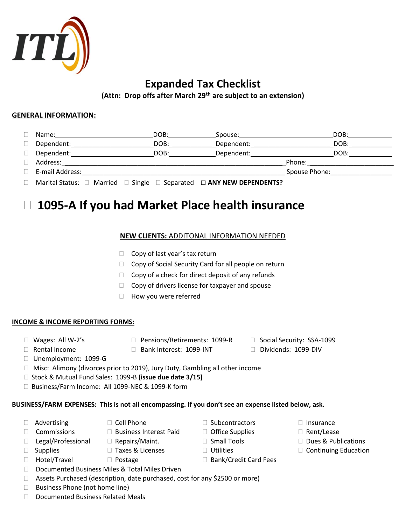

# **Expanded Tax Checklist**

**(Attn: Drop offs after March 29th are subject to an extension)**

### **GENERAL INFORMATION:**

| Name:           | DOB: | Spouse:                                                                                  | DOB:          |
|-----------------|------|------------------------------------------------------------------------------------------|---------------|
| Dependent:      | DOB: | Dependent:                                                                               | DOB:          |
| Dependent:      | DOB: | Dependent:                                                                               | DOB:          |
| Address:        |      |                                                                                          | Phone:        |
| E-mail Address: |      |                                                                                          | Spouse Phone: |
|                 |      | Marital Status: $\Box$ Married $\Box$ Single $\Box$ Separated $\Box$ ANY NEW DEPENDENTS? |               |

# **1095-A If you had Market Place health insurance**

### **NEW CLIENTS:** ADDITONAL INFORMATION NEEDED

- $\Box$  Copy of last year's tax return
- $\Box$  Copy of Social Security Card for all people on return
- $\Box$  Copy of a check for direct deposit of any refunds
- $\Box$  Copy of drivers license for taxpayer and spouse
- $\Box$  How you were referred

#### **INCOME & INCOME REPORTING FORMS:**

- 
- □ Wages: All W-2's □ Pensions/Retirements: 1099-R □ Social Security: SSA-1099
- 
- Rental Income Bank Interest: 1099-INT Dividends: 1099-DIV
- Unemployment: 1099-G
- □ Misc: Alimony (divorces prior to 2019), Jury Duty, Gambling all other income
- □ Stock & Mutual Fund Sales: 1099-B (issue due date 3/15)
- □ Business/Farm Income: All 1099-NEC & 1099-K form

## **BUSINESS/FARM EXPENSES: This is not all encompassing. If you don't see an expense listed below, ask.**

- $\Box$  Advertising  $\Box$  Cell Phone  $\Box$  Subcontractors  $\Box$  Insurance
- 
- $\Box$  Commissions  $\Box$  Business Interest Paid  $\Box$  Office Supplies  $\Box$  Rent/Lease
- 
- $\Box$  Legal/Professional  $\Box$  Repairs/Maint.  $\Box$  Small Tools  $\Box$  Dues & Publications
- 
- 
- 
- 
- □ Documented Business Miles & Total Miles Driven
- □ Assets Purchased (description, date purchased, cost for any \$2500 or more)
- $\Box$  Business Phone (not home line)
- □ Documented Business Related Meals
- 
- 
- 
- $\Box$  Hotel/Travel  $\Box$  Postage  $\Box$  Bank/Credit Card Fees
- 
- 
- 
- □ Supplies □ Taxes & Licenses □ Utilities □ Continuing Education
- 
- -
- 
-